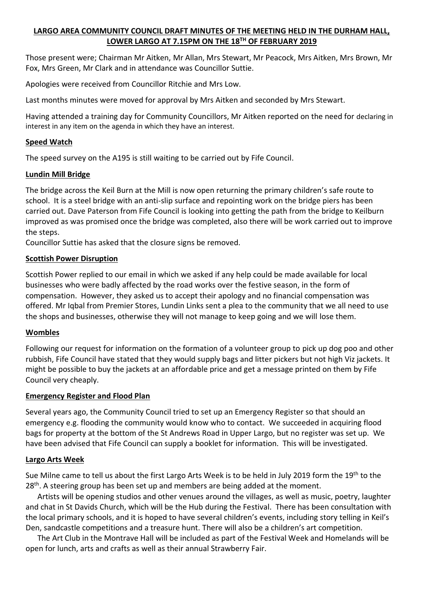# **LARGO AREA COMMUNITY COUNCIL DRAFT MINUTES OF THE MEETING HELD IN THE DURHAM HALL, LOWER LARGO AT 7.15PM ON THE 18TH OF FEBRUARY 2019**

Those present were; Chairman Mr Aitken, Mr Allan, Mrs Stewart, Mr Peacock, Mrs Aitken, Mrs Brown, Mr Fox, Mrs Green, Mr Clark and in attendance was Councillor Suttie.

Apologies were received from Councillor Ritchie and Mrs Low.

Last months minutes were moved for approval by Mrs Aitken and seconded by Mrs Stewart.

Having attended a training day for Community Councillors, Mr Aitken reported on the need for declaring in interest in any item on the agenda in which they have an interest.

## **Speed Watch**

The speed survey on the A195 is still waiting to be carried out by Fife Council.

## **Lundin Mill Bridge**

The bridge across the Keil Burn at the Mill is now open returning the primary children's safe route to school. It is a steel bridge with an anti-slip surface and repointing work on the bridge piers has been carried out. Dave Paterson from Fife Council is looking into getting the path from the bridge to Keilburn improved as was promised once the bridge was completed, also there will be work carried out to improve the steps.

Councillor Suttie has asked that the closure signs be removed.

## **Scottish Power Disruption**

Scottish Power replied to our email in which we asked if any help could be made available for local businesses who were badly affected by the road works over the festive season, in the form of compensation. However, they asked us to accept their apology and no financial compensation was offered. Mr Iqbal from Premier Stores, Lundin Links sent a plea to the community that we all need to use the shops and businesses, otherwise they will not manage to keep going and we will lose them.

### **Wombles**

Following our request for information on the formation of a volunteer group to pick up dog poo and other rubbish, Fife Council have stated that they would supply bags and litter pickers but not high Viz jackets. It might be possible to buy the jackets at an affordable price and get a message printed on them by Fife Council very cheaply.

# **Emergency Register and Flood Plan**

Several years ago, the Community Council tried to set up an Emergency Register so that should an emergency e.g. flooding the community would know who to contact. We succeeded in acquiring flood bags for property at the bottom of the St Andrews Road in Upper Largo, but no register was set up. We have been advised that Fife Council can supply a booklet for information. This will be investigated.

# **Largo Arts Week**

Sue Milne came to tell us about the first Largo Arts Week is to be held in July 2019 form the 19th to the  $28<sup>th</sup>$ . A steering group has been set up and members are being added at the moment.

 Artists will be opening studios and other venues around the villages, as well as music, poetry, laughter and chat in St Davids Church, which will be the Hub during the Festival. There has been consultation with the local primary schools, and it is hoped to have several children's events, including story telling in Keil's Den, sandcastle competitions and a treasure hunt. There will also be a children's art competition.

 The Art Club in the Montrave Hall will be included as part of the Festival Week and Homelands will be open for lunch, arts and crafts as well as their annual Strawberry Fair.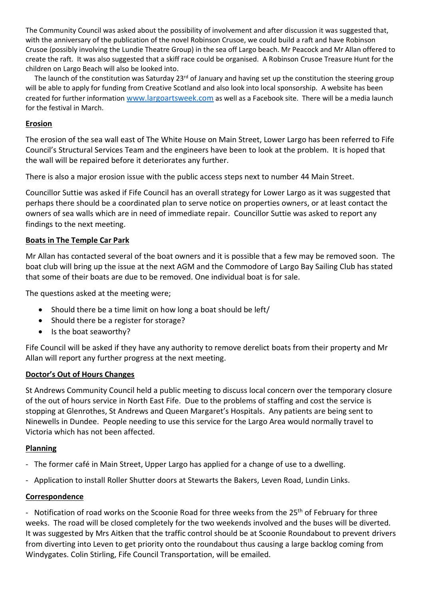The Community Council was asked about the possibility of involvement and after discussion it was suggested that, with the anniversary of the publication of the novel Robinson Crusoe, we could build a raft and have Robinson Crusoe (possibly involving the Lundie Theatre Group) in the sea off Largo beach. Mr Peacock and Mr Allan offered to create the raft. It was also suggested that a skiff race could be organised. A Robinson Crusoe Treasure Hunt for the children on Largo Beach will also be looked into.

The launch of the constitution was Saturday  $23^{rd}$  of January and having set up the constitution the steering group will be able to apply for funding from Creative Scotland and also look into local sponsorship. A website has been created for further information [www.largoartsweek.com](http://www.largoartsweek.com/) as well as a Facebook site. There will be a media launch for the festival in March.

### **Erosion**

The erosion of the sea wall east of The White House on Main Street, Lower Largo has been referred to Fife Council's Structural Services Team and the engineers have been to look at the problem. It is hoped that the wall will be repaired before it deteriorates any further.

There is also a major erosion issue with the public access steps next to number 44 Main Street.

Councillor Suttie was asked if Fife Council has an overall strategy for Lower Largo as it was suggested that perhaps there should be a coordinated plan to serve notice on properties owners, or at least contact the owners of sea walls which are in need of immediate repair. Councillor Suttie was asked to report any findings to the next meeting.

## **Boats in The Temple Car Park**

Mr Allan has contacted several of the boat owners and it is possible that a few may be removed soon. The boat club will bring up the issue at the next AGM and the Commodore of Largo Bay Sailing Club has stated that some of their boats are due to be removed. One individual boat is for sale.

The questions asked at the meeting were;

- Should there be a time limit on how long a boat should be left/
- Should there be a register for storage?
- Is the boat seaworthy?

Fife Council will be asked if they have any authority to remove derelict boats from their property and Mr Allan will report any further progress at the next meeting.

### **Doctor's Out of Hours Changes**

St Andrews Community Council held a public meeting to discuss local concern over the temporary closure of the out of hours service in North East Fife. Due to the problems of staffing and cost the service is stopping at Glenrothes, St Andrews and Queen Margaret's Hospitals. Any patients are being sent to Ninewells in Dundee. People needing to use this service for the Largo Area would normally travel to Victoria which has not been affected.

### **Planning**

- The former café in Main Street, Upper Largo has applied for a change of use to a dwelling.
- Application to install Roller Shutter doors at Stewarts the Bakers, Leven Road, Lundin Links.

#### **Correspondence**

- Notification of road works on the Scoonie Road for three weeks from the 25<sup>th</sup> of February for three weeks. The road will be closed completely for the two weekends involved and the buses will be diverted. It was suggested by Mrs Aitken that the traffic control should be at Scoonie Roundabout to prevent drivers from diverting into Leven to get priority onto the roundabout thus causing a large backlog coming from Windygates. Colin Stirling, Fife Council Transportation, will be emailed.